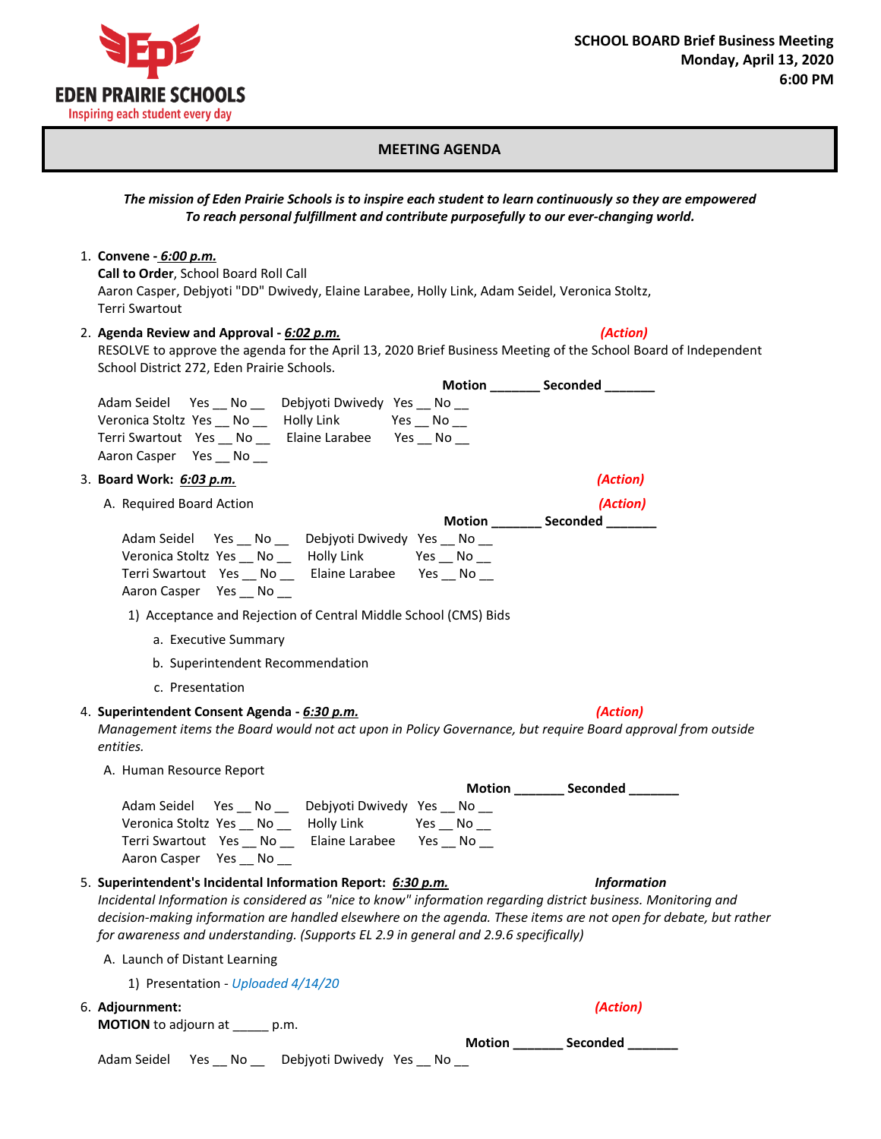

## **MEETING AGENDA**

## *The mission of Eden Prairie Schools is to inspire each student to learn continuously so they are empowered To reach personal fulfillment and contribute purposefully to our ever-changing world.*

1. **Convene -** *6:00 p.m.*

**Call to Order**, School Board Roll Call Aaron Casper, Debjyoti "DD" Dwivedy, Elaine Larabee, Holly Link, Adam Seidel, Veronica Stoltz, Terri Swartout

## 2. **Agenda Review and Approval -** *6:02 p.m.**(Action)*

RESOLVE to approve the agenda for the April 13, 2020 Brief Business Meeting of the School Board of Independent School District 272, Eden Prairie Schools.

| Motion _________ Seconded ________                                                                                                                                                                                                                                                                                                                                                         |                    |
|--------------------------------------------------------------------------------------------------------------------------------------------------------------------------------------------------------------------------------------------------------------------------------------------------------------------------------------------------------------------------------------------|--------------------|
| Adam Seidel Yes No _ Debjyoti Dwivedy Yes No _<br>Veronica Stoltz Yes __ No __ Holly Link<br>$Yes$ $No$ $\_\_$<br>Terri Swartout Yes __ No __ Elaine Larabee Yes __ No __<br>Aaron Casper Yes __ No __                                                                                                                                                                                     |                    |
| 3. Board Work: 6:03 p.m.                                                                                                                                                                                                                                                                                                                                                                   | (Action)           |
| A. Required Board Action                                                                                                                                                                                                                                                                                                                                                                   | (Action)           |
| Motion _________ Seconded _______                                                                                                                                                                                                                                                                                                                                                          |                    |
| Adam Seidel Yes __ No __ Debjyoti Dwivedy Yes __ No __<br>Veronica Stoltz Yes __ No __ Holly Link<br>$Yes$ ___ No ___<br>Terri Swartout Yes __ No __ Elaine Larabee Yes __ No __<br>Aaron Casper Yes __ No __                                                                                                                                                                              |                    |
| 1) Acceptance and Rejection of Central Middle School (CMS) Bids                                                                                                                                                                                                                                                                                                                            |                    |
| a. Executive Summary                                                                                                                                                                                                                                                                                                                                                                       |                    |
| b. Superintendent Recommendation                                                                                                                                                                                                                                                                                                                                                           |                    |
| c. Presentation                                                                                                                                                                                                                                                                                                                                                                            |                    |
| 4. Superintendent Consent Agenda - 6:30 p.m.<br>Management items the Board would not act upon in Policy Governance, but require Board approval from outside<br>entities.                                                                                                                                                                                                                   | (Action)           |
| A. Human Resource Report                                                                                                                                                                                                                                                                                                                                                                   |                    |
| Motion _________ Seconded _______                                                                                                                                                                                                                                                                                                                                                          |                    |
| Adam Seidel Yes __ No __ Debjyoti Dwivedy Yes __ No __<br>Veronica Stoltz Yes __ No __ Holly Link<br>$Yes$ $No$ $\_\_$<br>Terri Swartout Yes No Elaine Larabee Yes No<br>Aaron Casper Yes __ No __                                                                                                                                                                                         |                    |
| 5. Superintendent's Incidental Information Report: 6:30 p.m.<br>Incidental Information is considered as "nice to know" information regarding district business. Monitoring and<br>decision-making information are handled elsewhere on the agenda. These items are not open for debate, but rather<br>for awareness and understanding. (Supports EL 2.9 in general and 2.9.6 specifically) | <b>Information</b> |
| A. Launch of Distant Learning                                                                                                                                                                                                                                                                                                                                                              |                    |
| 1) Presentation - Uploaded 4/14/20                                                                                                                                                                                                                                                                                                                                                         |                    |
| 6. Adjournment:<br><b>MOTION</b> to adjourn at p.m.                                                                                                                                                                                                                                                                                                                                        | (Action)           |

**Motion \_\_\_\_\_\_\_ Seconded \_\_\_\_\_\_\_** Adam Seidel Yes \_\_ No \_\_ Debjyoti Dwivedy Yes \_\_ No \_\_